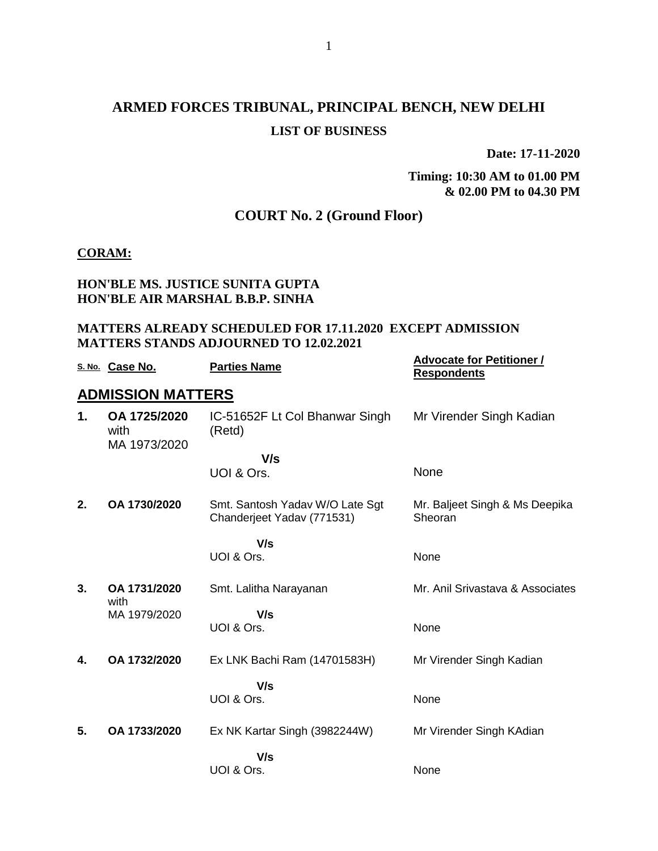## **ARMED FORCES TRIBUNAL, PRINCIPAL BENCH, NEW DELHI LIST OF BUSINESS**

**Date: 17-11-2020**

**Timing: 10:30 AM to 01.00 PM & 02.00 PM to 04.30 PM**

## **COURT No. 2 (Ground Floor)**

#### **CORAM:**

### **HON'BLE MS. JUSTICE SUNITA GUPTA HON'BLE AIR MARSHAL B.B.P. SINHA**

#### **MATTERS ALREADY SCHEDULED FOR 17.11.2020 EXCEPT ADMISSION MATTERS STANDS ADJOURNED TO 12.02.2021**

|    | S. No. Case No.                      | <b>Parties Name</b>                                           | <b>Advocate for Petitioner /</b><br><b>Respondents</b> |
|----|--------------------------------------|---------------------------------------------------------------|--------------------------------------------------------|
|    | <b>ADMISSION MATTERS</b>             |                                                               |                                                        |
| 1. | OA 1725/2020<br>with<br>MA 1973/2020 | IC-51652F Lt Col Bhanwar Singh<br>(Retd)                      | Mr Virender Singh Kadian                               |
|    |                                      | V/s                                                           |                                                        |
|    |                                      | UOI & Ors.                                                    | None                                                   |
| 2. | OA 1730/2020                         | Smt. Santosh Yadav W/O Late Sgt<br>Chanderjeet Yadav (771531) | Mr. Baljeet Singh & Ms Deepika<br>Sheoran              |
|    |                                      | V/s<br>UOI & Ors.                                             | None                                                   |
| 3. | OA 1731/2020                         | Smt. Lalitha Narayanan                                        | Mr. Anil Srivastava & Associates                       |
|    | with<br>MA 1979/2020                 | V/s                                                           |                                                        |
|    |                                      | UOI & Ors.                                                    | None                                                   |
| 4. | OA 1732/2020                         | Ex LNK Bachi Ram (14701583H)                                  | Mr Virender Singh Kadian                               |
|    |                                      | V/s<br>UOI & Ors.                                             | None                                                   |
| 5. | OA 1733/2020                         | Ex NK Kartar Singh (3982244W)                                 | Mr Virender Singh KAdian                               |
|    |                                      | V/s                                                           |                                                        |
|    |                                      | UOI & Ors.                                                    | None                                                   |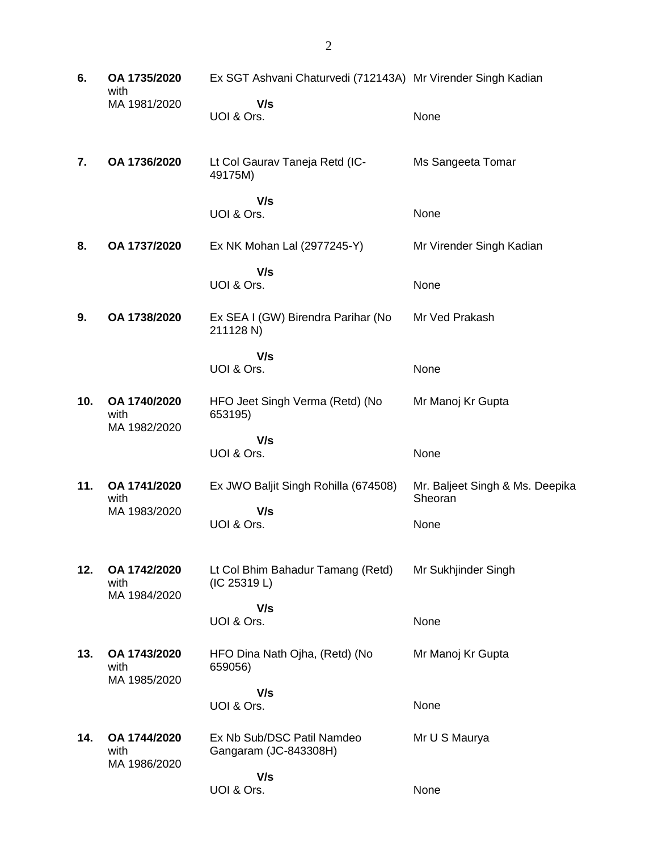| 6.  | OA 1735/2020<br>with | Ex SGT Ashvani Chaturvedi (712143A) Mr Virender Singh Kadian |                                 |
|-----|----------------------|--------------------------------------------------------------|---------------------------------|
|     | MA 1981/2020         | V/s                                                          |                                 |
|     |                      | UOI & Ors.                                                   | None                            |
|     |                      |                                                              |                                 |
| 7.  | OA 1736/2020         | Lt Col Gaurav Taneja Retd (IC-<br>49175M)                    | Ms Sangeeta Tomar               |
|     |                      | V/s                                                          |                                 |
|     |                      | UOI & Ors.                                                   | None                            |
| 8.  | OA 1737/2020         | Ex NK Mohan Lal (2977245-Y)                                  | Mr Virender Singh Kadian        |
|     |                      |                                                              |                                 |
|     |                      | V/s<br>UOI & Ors.                                            | None                            |
|     |                      |                                                              |                                 |
| 9.  | OA 1738/2020         | Ex SEA I (GW) Birendra Parihar (No<br>211128 N)              | Mr Ved Prakash                  |
|     |                      | V/s                                                          |                                 |
|     |                      | UOI & Ors.                                                   | None                            |
|     |                      |                                                              |                                 |
| 10. | OA 1740/2020<br>with | HFO Jeet Singh Verma (Retd) (No<br>653195)                   | Mr Manoj Kr Gupta               |
|     | MA 1982/2020         |                                                              |                                 |
|     |                      | V/s<br>UOI & Ors.                                            | None                            |
|     |                      |                                                              |                                 |
| 11. | OA 1741/2020         | Ex JWO Baljit Singh Rohilla (674508)                         | Mr. Baljeet Singh & Ms. Deepika |
|     | with<br>MA 1983/2020 | V/s                                                          | Sheoran                         |
|     |                      | UOI & Ors.                                                   | None                            |
|     |                      |                                                              |                                 |
| 12. | OA 1742/2020         | Lt Col Bhim Bahadur Tamang (Retd)                            | Mr Sukhjinder Singh             |
|     | with                 | (IC 25319 L)                                                 |                                 |
|     | MA 1984/2020         | V/s                                                          |                                 |
|     |                      | UOI & Ors.                                                   | None                            |
|     |                      |                                                              |                                 |
| 13. | OA 1743/2020<br>with | HFO Dina Nath Ojha, (Retd) (No<br>659056)                    | Mr Manoj Kr Gupta               |
|     | MA 1985/2020         |                                                              |                                 |
|     |                      | V/s<br>UOI & Ors.                                            | None                            |
|     |                      |                                                              |                                 |
| 14. | OA 1744/2020         | Ex Nb Sub/DSC Patil Namdeo                                   | Mr U S Maurya                   |
|     | with<br>MA 1986/2020 | Gangaram (JC-843308H)                                        |                                 |
|     |                      | V/s                                                          |                                 |
|     |                      | UOI & Ors.                                                   | None                            |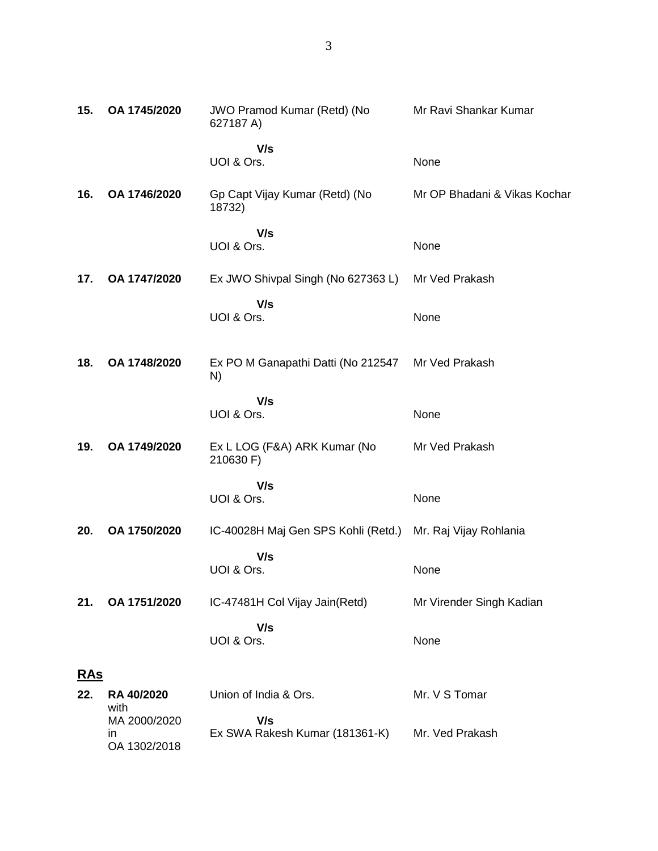| 15.        | OA 1745/2020                       | JWO Pramod Kumar (Retd) (No<br>627187 A)                   | Mr Ravi Shankar Kumar        |
|------------|------------------------------------|------------------------------------------------------------|------------------------------|
|            |                                    | V/s<br>UOI & Ors.                                          | None                         |
| 16.        | OA 1746/2020                       | Gp Capt Vijay Kumar (Retd) (No<br>18732)                   | Mr OP Bhadani & Vikas Kochar |
|            |                                    | V/s<br>UOI & Ors.                                          | None                         |
| 17.        | OA 1747/2020                       | Ex JWO Shivpal Singh (No 627363 L)                         | Mr Ved Prakash               |
|            |                                    | V/s<br>UOI & Ors.                                          | None                         |
| 18.        | OA 1748/2020                       | Ex PO M Ganapathi Datti (No 212547<br>N)                   | Mr Ved Prakash               |
|            |                                    | V/s<br>UOI & Ors.                                          | None                         |
| 19.        | OA 1749/2020                       | Ex L LOG (F&A) ARK Kumar (No<br>210630 F)                  | Mr Ved Prakash               |
|            |                                    | V/s<br>UOI & Ors.                                          | None                         |
| 20.        | OA 1750/2020                       | IC-40028H Maj Gen SPS Kohli (Retd.) Mr. Raj Vijay Rohlania |                              |
|            |                                    | V/s<br>UOI & Ors.                                          | None                         |
| 21.        | OA 1751/2020                       | IC-47481H Col Vijay Jain(Retd)                             | Mr Virender Singh Kadian     |
|            |                                    | V/s<br>UOI & Ors.                                          | None                         |
| <u>RAs</u> |                                    |                                                            |                              |
| 22.        | RA 40/2020<br>with                 | Union of India & Ors.                                      | Mr. V S Tomar                |
|            | MA 2000/2020<br>in<br>OA 1302/2018 | V/s<br>Ex SWA Rakesh Kumar (181361-K)                      | Mr. Ved Prakash              |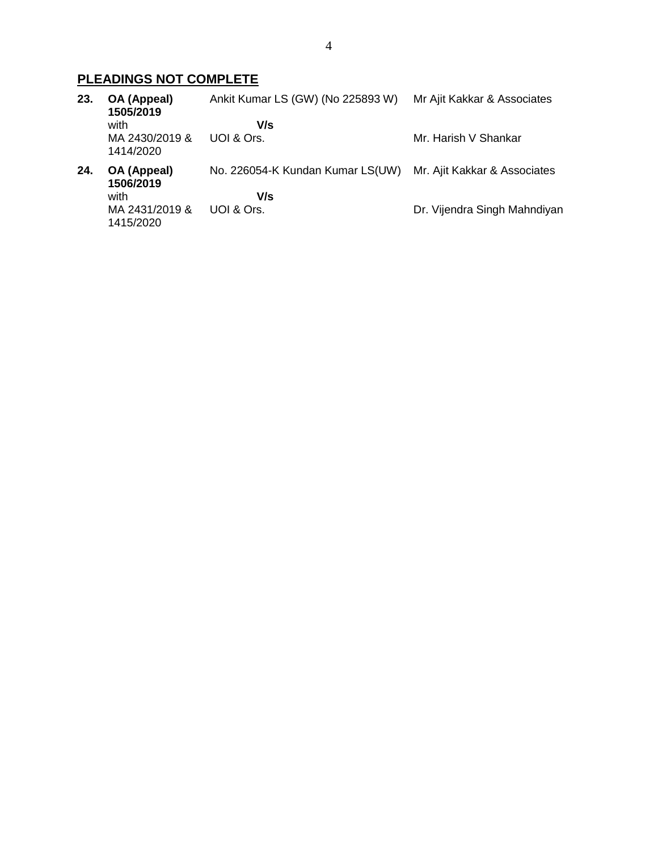## **PLEADINGS NOT COMPLETE**

| 23. | OA (Appeal)<br>1505/2019    | Ankit Kumar LS (GW) (No 225893 W) | Mr Ajit Kakkar & Associates  |
|-----|-----------------------------|-----------------------------------|------------------------------|
|     | with                        | V/s                               |                              |
|     | MA 2430/2019 &<br>1414/2020 | UOI & Ors.                        | Mr. Harish V Shankar         |
| 24. | OA (Appeal)<br>1506/2019    | No. 226054-K Kundan Kumar LS(UW)  | Mr. Ajit Kakkar & Associates |
|     | with                        | V/s                               |                              |
|     | MA 2431/2019 &<br>1415/2020 | UOI & Ors.                        | Dr. Vijendra Singh Mahndiyan |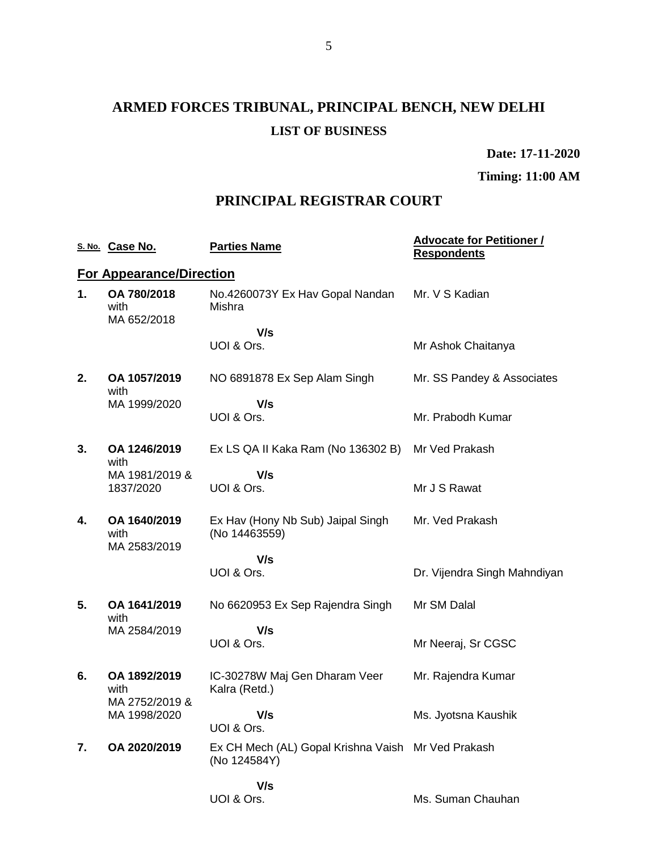# **ARMED FORCES TRIBUNAL, PRINCIPAL BENCH, NEW DELHI LIST OF BUSINESS**

**Date: 17-11-2020**

**Timing: 11:00 AM**

## **PRINCIPAL REGISTRAR COURT**

|    | S. No. Case No.                                        | <b>Parties Name</b>                                                | <b>Advocate for Petitioner /</b><br><b>Respondents</b> |
|----|--------------------------------------------------------|--------------------------------------------------------------------|--------------------------------------------------------|
|    | <b>For Appearance/Direction</b>                        |                                                                    |                                                        |
| 1. | OA 780/2018<br>with<br>MA 652/2018                     | No.4260073Y Ex Hav Gopal Nandan<br>Mishra                          | Mr. V S Kadian                                         |
|    |                                                        | V/s<br>UOI & Ors.                                                  | Mr Ashok Chaitanya                                     |
| 2. | OA 1057/2019<br>with                                   | NO 6891878 Ex Sep Alam Singh                                       | Mr. SS Pandey & Associates                             |
|    | MA 1999/2020                                           | V/s<br>UOI & Ors.                                                  | Mr. Prabodh Kumar                                      |
| 3. | OA 1246/2019<br>with                                   | Ex LS QA II Kaka Ram (No 136302 B)                                 | Mr Ved Prakash                                         |
|    | MA 1981/2019 &<br>1837/2020                            | V/s<br>UOI & Ors.                                                  | Mr J S Rawat                                           |
| 4. | OA 1640/2019<br>with                                   | Ex Hav (Hony Nb Sub) Jaipal Singh<br>(No 14463559)                 | Mr. Ved Prakash                                        |
|    | MA 2583/2019                                           | V/s                                                                |                                                        |
|    |                                                        | UOI & Ors.                                                         | Dr. Vijendra Singh Mahndiyan                           |
| 5. | OA 1641/2019<br>with                                   | No 6620953 Ex Sep Rajendra Singh                                   | Mr SM Dalal                                            |
|    | MA 2584/2019                                           | V/s<br>UOI & Ors.                                                  | Mr Neeraj, Sr CGSC                                     |
| 6. | OA 1892/2019<br>with<br>MA 2752/2019 &<br>MA 1998/2020 | IC-30278W Maj Gen Dharam Veer<br>Kalra (Retd.)                     | Mr. Rajendra Kumar                                     |
|    |                                                        | V/s<br>UOI & Ors.                                                  | Ms. Jyotsna Kaushik                                    |
| 7. | OA 2020/2019                                           | Ex CH Mech (AL) Gopal Krishna Vaish Mr Ved Prakash<br>(No 124584Y) |                                                        |
|    |                                                        | V/s<br>UOI & Ors.                                                  | Ms. Suman Chauhan                                      |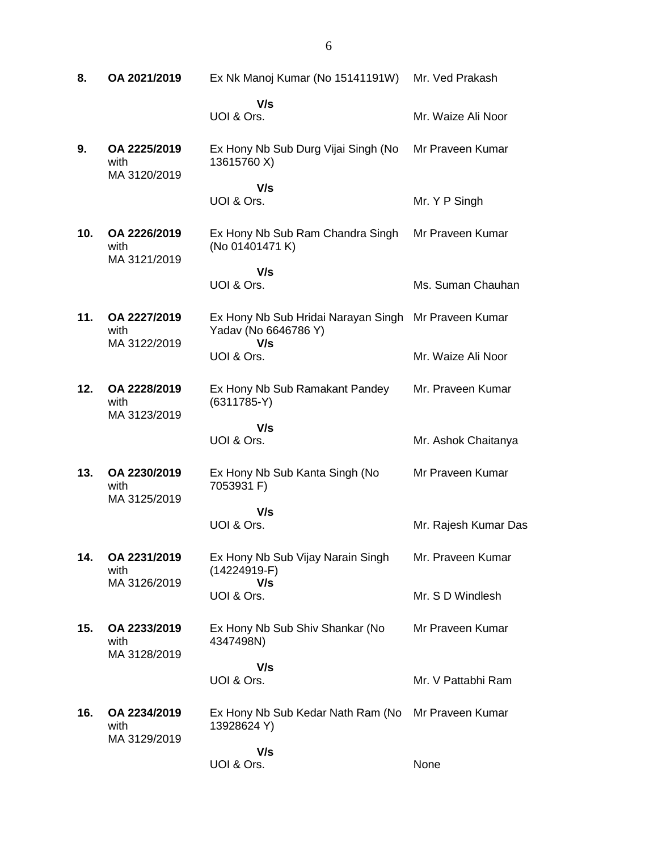**8. OA 2021/2019** Ex Nk Manoj Kumar (No 15141191W)  **V/s** UOI & Ors. Mr. Ved Prakash Mr. Waize Ali Noor **9. OA 2225/2019** with MA 3120/2019 Ex Hony Nb Sub Durg Vijai Singh (No 13615760 X)  **V/s** UOI & Ors. Mr Praveen Kumar Mr. Y P Singh **10. OA 2226/2019** with MA 3121/2019 Ex Hony Nb Sub Ram Chandra Singh (No 01401471 K)  **V/s** UOI & Ors. Mr Praveen Kumar Ms. Suman Chauhan **11. OA 2227/2019** with MA 3122/2019 Ex Hony Nb Sub Hridai Narayan Singh Mr Praveen Kumar Yadav (No 6646786 Y)  **V/s** UOI & Ors. Mr. Waize Ali Noor **12. OA 2228/2019** with MA 3123/2019 Ex Hony Nb Sub Ramakant Pandey (6311785-Y)  **V/s** UOI & Ors. Mr. Praveen Kumar Mr. Ashok Chaitanya **13. OA 2230/2019** with MA 3125/2019 Ex Hony Nb Sub Kanta Singh (No 7053931 F)  **V/s** UOI & Ors. Mr Praveen Kumar Mr. Rajesh Kumar Das **14. OA 2231/2019** with MA 3126/2019 Ex Hony Nb Sub Vijay Narain Singh (14224919-F)  **V/s** UOI & Ors. Mr. Praveen Kumar Mr. S D Windlesh **15. OA 2233/2019** with MA 3128/2019 Ex Hony Nb Sub Shiv Shankar (No 4347498N)  **V/s** UOI & Ors. Mr Praveen Kumar Mr. V Pattabhi Ram **16. OA 2234/2019** with MA 3129/2019 Ex Hony Nb Sub Kedar Nath Ram (No Mr Praveen Kumar 13928624 Y)  **V/s** UOI & Ors. None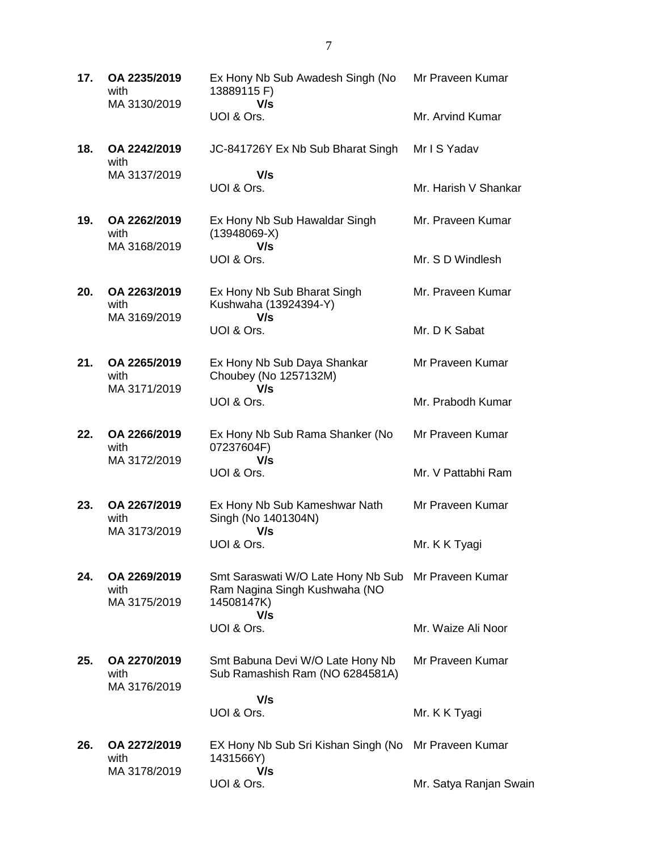**17. OA 2235/2019** with MA 3130/2019 Ex Hony Nb Sub Awadesh Singh (No 13889115 F)  **V/s** UOI & Ors. Mr Praveen Kumar Mr. Arvind Kumar **18. OA 2242/2019** with MA 3137/2019 JC-841726Y Ex Nb Sub Bharat Singh  **V/s** UOI & Ors. Mr I S Yadav Mr. Harish V Shankar **19. OA 2262/2019** with MA 3168/2019 Ex Hony Nb Sub Hawaldar Singh (13948069-X)  **V/s** UOI & Ors. Mr. Praveen Kumar Mr. S D Windlesh **20. OA 2263/2019** with MA 3169/2019 Ex Hony Nb Sub Bharat Singh Kushwaha (13924394-Y)  **V/s** UOI & Ors. Mr. Praveen Kumar Mr. D K Sabat **21. OA 2265/2019** with MA 3171/2019 Ex Hony Nb Sub Daya Shankar Choubey (No 1257132M)  **V/s** UOI & Ors. Mr Praveen Kumar Mr. Prabodh Kumar **22. OA 2266/2019** with MA 3172/2019 Ex Hony Nb Sub Rama Shanker (No 07237604F)  **V/s** UOI & Ors. Mr Praveen Kumar Mr. V Pattabhi Ram **23. OA 2267/2019** with MA 3173/2019 Ex Hony Nb Sub Kameshwar Nath Singh (No 1401304N)  **V/s** UOI & Ors. Mr Praveen Kumar Mr. K K Tyagi **24. OA 2269/2019** with MA 3175/2019 Smt Saraswati W/O Late Hony Nb Sub Mr Praveen Kumar Ram Nagina Singh Kushwaha (NO 14508147K)  **V/s** UOI & Ors. Mr. Waize Ali Noor **25. OA 2270/2019** with MA 3176/2019 Smt Babuna Devi W/O Late Hony Nb Sub Ramashish Ram (NO 6284581A)  **V/s** UOI & Ors. Mr Praveen Kumar Mr. K K Tyagi **26. OA 2272/2019** with MA 3178/2019 EX Hony Nb Sub Sri Kishan Singh (No Mr Praveen Kumar 1431566Y)  **V/s** UOI & Ors. Mr. Satya Ranjan Swain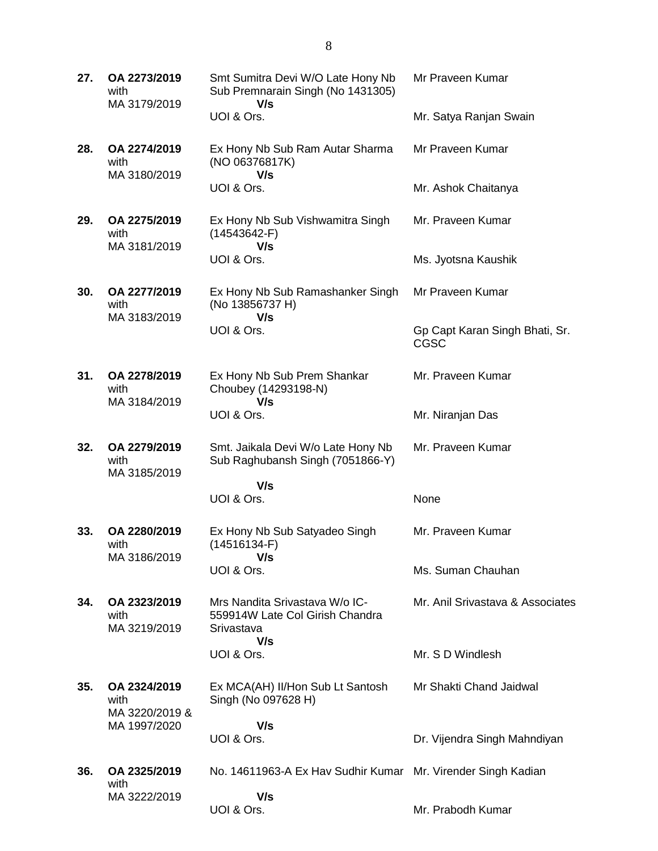**27. OA 2273/2019** with MA 3179/2019 Smt Sumitra Devi W/O Late Hony Nb Sub Premnarain Singh (No 1431305)  **V/s** UOI & Ors. Mr Praveen Kumar Mr. Satya Ranjan Swain **28. OA 2274/2019** with MA 3180/2019 Ex Hony Nb Sub Ram Autar Sharma (NO 06376817K)  **V/s** UOI & Ors. Mr Praveen Kumar Mr. Ashok Chaitanya **29. OA 2275/2019** with MA 3181/2019 Ex Hony Nb Sub Vishwamitra Singh (14543642-F)  **V/s** UOI & Ors. Mr. Praveen Kumar Ms. Jyotsna Kaushik **30. OA 2277/2019** with MA 3183/2019 Ex Hony Nb Sub Ramashanker Singh (No 13856737 H)  **V/s** UOI & Ors. Mr Praveen Kumar Gp Capt Karan Singh Bhati, Sr. CGSC **31. OA 2278/2019** with MA 3184/2019 Ex Hony Nb Sub Prem Shankar Choubey (14293198-N)  **V/s** UOI & Ors. Mr. Praveen Kumar Mr. Niranjan Das **32. OA 2279/2019** with MA 3185/2019 Smt. Jaikala Devi W/o Late Hony Nb Sub Raghubansh Singh (7051866-Y)  **V/s** UOI & Ors. Mr. Praveen Kumar None **33. OA 2280/2019** with MA 3186/2019 Ex Hony Nb Sub Satyadeo Singh (14516134-F)  **V/s** UOI & Ors. Mr. Praveen Kumar Ms. Suman Chauhan **34. OA 2323/2019** with MA 3219/2019 Mrs Nandita Srivastava W/o IC-559914W Late Col Girish Chandra Srivastava  **V/s** UOI & Ors. Mr. Anil Srivastava & Associates Mr. S D Windlesh **35. OA 2324/2019** with MA 3220/2019 & MA 1997/2020 Ex MCA(AH) II/Hon Sub Lt Santosh Singh (No 097628 H)  **V/s** UOI & Ors. Mr Shakti Chand Jaidwal Dr. Vijendra Singh Mahndiyan **36. OA 2325/2019** with MA 3222/2019 No. 14611963-A Ex Hav Sudhir Kumar Mr. Virender Singh Kadian  **V/s** UOI & Ors. Mr. Prabodh Kumar

8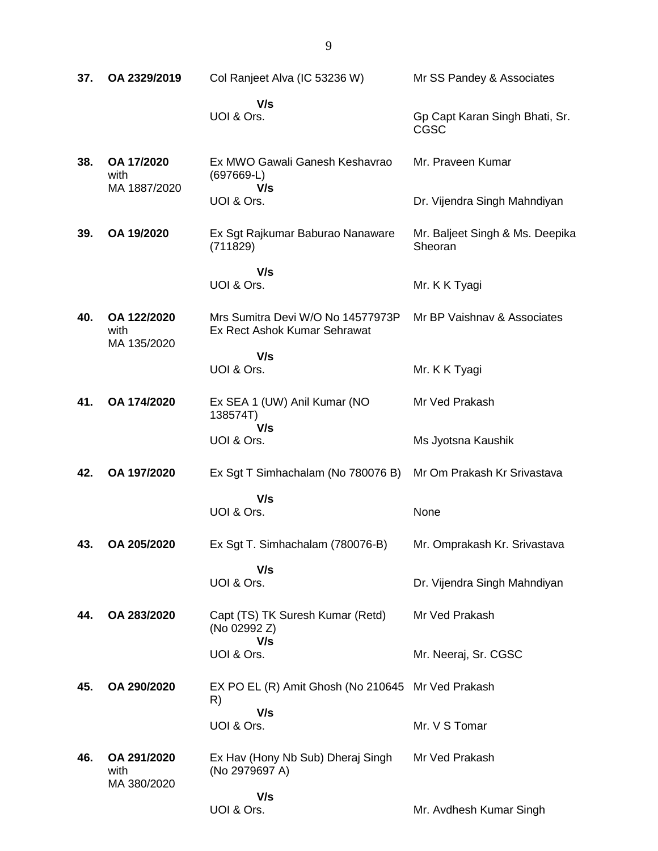| 37. | OA 2329/2019                       | Col Ranjeet Alva (IC 53236 W)                                     | Mr SS Pandey & Associates                  |
|-----|------------------------------------|-------------------------------------------------------------------|--------------------------------------------|
|     |                                    | V/s<br>UOI & Ors.                                                 | Gp Capt Karan Singh Bhati, Sr.<br>CGSC     |
| 38. | OA 17/2020<br>with<br>MA 1887/2020 | Ex MWO Gawali Ganesh Keshavrao<br>$(697669-L)$<br>V/s             | Mr. Praveen Kumar                          |
|     |                                    | UOI & Ors.                                                        | Dr. Vijendra Singh Mahndiyan               |
| 39. | OA 19/2020                         | Ex Sgt Rajkumar Baburao Nanaware<br>(711829)                      | Mr. Baljeet Singh & Ms. Deepika<br>Sheoran |
|     |                                    | V/s<br>UOI & Ors.                                                 | Mr. K K Tyagi                              |
| 40. | OA 122/2020<br>with<br>MA 135/2020 | Mrs Sumitra Devi W/O No 14577973P<br>Ex Rect Ashok Kumar Sehrawat | Mr BP Vaishnay & Associates                |
|     |                                    | V/s<br>UOI & Ors.                                                 | Mr. K K Tyagi                              |
| 41. | OA 174/2020                        | Ex SEA 1 (UW) Anil Kumar (NO<br>138574T)<br>V/s                   | Mr Ved Prakash                             |
|     |                                    | UOI & Ors.                                                        | Ms Jyotsna Kaushik                         |
| 42. | OA 197/2020                        | Ex Sgt T Simhachalam (No 780076 B)                                | Mr Om Prakash Kr Srivastava                |
|     |                                    | V/s<br>UOI & Ors.                                                 | None                                       |
| 43. | OA 205/2020                        | Ex Sgt T. Simhachalam (780076-B)                                  | Mr. Omprakash Kr. Srivastava               |
|     |                                    | V/s<br>UOI & Ors.                                                 | Dr. Vijendra Singh Mahndiyan               |
| 44. | OA 283/2020                        | Capt (TS) TK Suresh Kumar (Retd)<br>(No 02992 Z)                  | Mr Ved Prakash                             |
|     |                                    | V/s<br>UOI & Ors.                                                 | Mr. Neeraj, Sr. CGSC                       |
| 45. | OA 290/2020                        | EX PO EL (R) Amit Ghosh (No 210645 Mr Ved Prakash<br>R)           |                                            |
|     |                                    | V/s<br>UOI & Ors.                                                 | Mr. V S Tomar                              |
| 46. | OA 291/2020<br>with<br>MA 380/2020 | Ex Hav (Hony Nb Sub) Dheraj Singh<br>(No 2979697 A)               | Mr Ved Prakash                             |
|     |                                    | V/s<br>UOI & Ors.                                                 | Mr. Avdhesh Kumar Singh                    |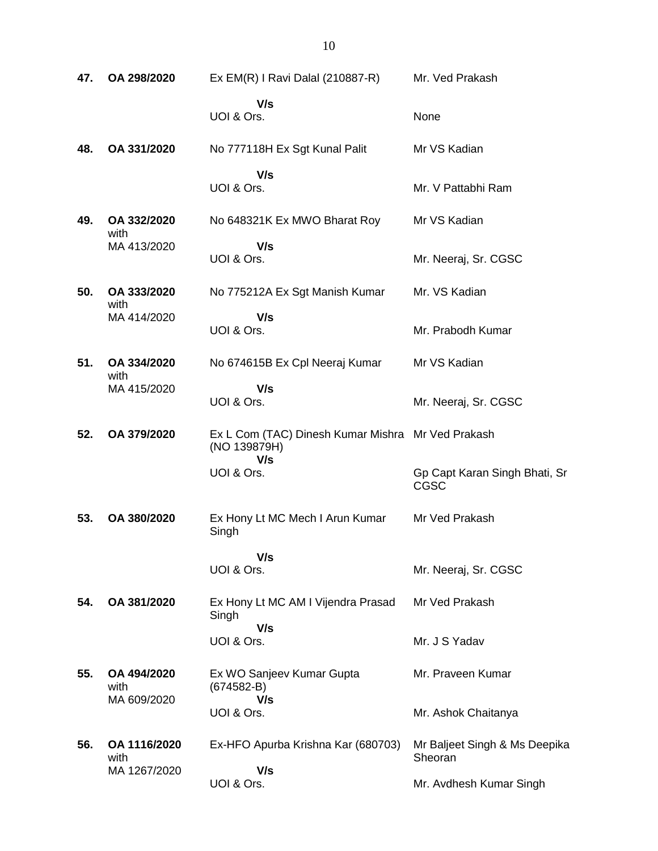| 47. | OA 298/2020                          | Ex EM(R) I Ravi Dalal (210887-R)                                         | Mr. Ved Prakash                              |
|-----|--------------------------------------|--------------------------------------------------------------------------|----------------------------------------------|
|     |                                      | V/s<br>UOI & Ors.                                                        | None                                         |
| 48. | OA 331/2020                          | No 777118H Ex Sgt Kunal Palit                                            | Mr VS Kadian                                 |
|     |                                      | V/s<br>UOI & Ors.                                                        | Mr. V Pattabhi Ram                           |
| 49. | OA 332/2020<br>with                  | No 648321K Ex MWO Bharat Roy                                             | Mr VS Kadian                                 |
|     | MA 413/2020                          | V/s<br>UOI & Ors.                                                        | Mr. Neeraj, Sr. CGSC                         |
| 50. | OA 333/2020<br>with                  | No 775212A Ex Sgt Manish Kumar                                           | Mr. VS Kadian                                |
|     | MA 414/2020                          | V/s<br>UOI & Ors.                                                        | Mr. Prabodh Kumar                            |
| 51. | OA 334/2020<br>with                  | No 674615B Ex Cpl Neeraj Kumar                                           | Mr VS Kadian                                 |
|     | MA 415/2020                          | V/s<br>UOI & Ors.                                                        | Mr. Neeraj, Sr. CGSC                         |
| 52. | OA 379/2020                          | Ex L Com (TAC) Dinesh Kumar Mishra Mr Ved Prakash<br>(NO 139879H)<br>V/s |                                              |
|     |                                      | UOI & Ors.                                                               | Gp Capt Karan Singh Bhati, Sr<br><b>CGSC</b> |
| 53. | OA 380/2020                          | Ex Hony Lt MC Mech I Arun Kumar<br>Singh                                 | Mr Ved Prakash                               |
|     |                                      | V/s<br>UOI & Ors.                                                        | Mr. Neeraj, Sr. CGSC                         |
| 54. | OA 381/2020                          | Ex Hony Lt MC AM I Vijendra Prasad<br>Singh                              | Mr Ved Prakash                               |
|     |                                      | V/s<br>UOI & Ors.                                                        | Mr. J S Yadav                                |
| 55. | OA 494/2020<br>with<br>MA 609/2020   | Ex WO Sanjeev Kumar Gupta<br>$(674582 - B)$<br>V/s                       | Mr. Praveen Kumar                            |
|     |                                      | UOI & Ors.                                                               | Mr. Ashok Chaitanya                          |
| 56. | OA 1116/2020<br>with<br>MA 1267/2020 | Ex-HFO Apurba Krishna Kar (680703)<br>V/s                                | Mr Baljeet Singh & Ms Deepika<br>Sheoran     |
|     |                                      | UOI & Ors.                                                               | Mr. Avdhesh Kumar Singh                      |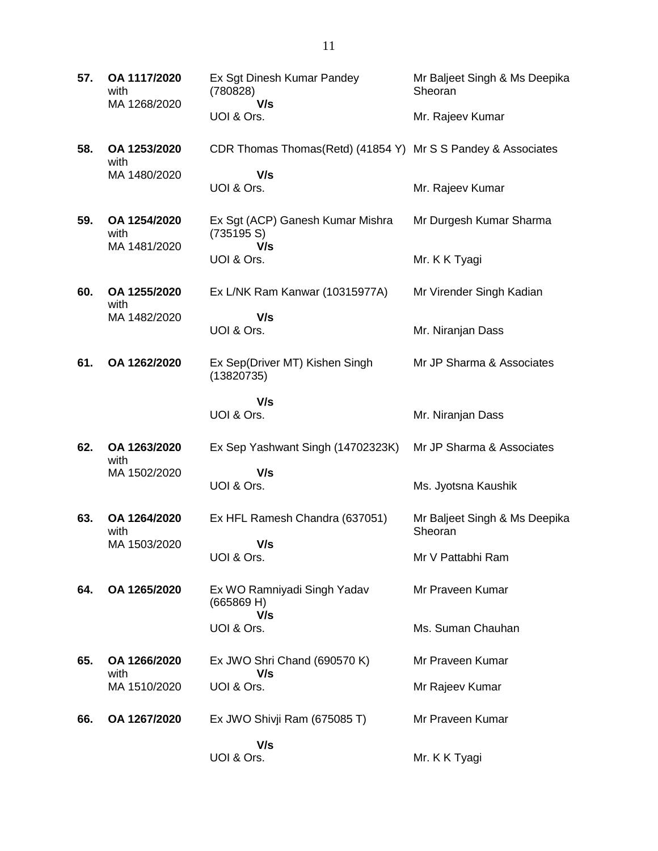**57. OA 1117/2020** with MA 1268/2020 Ex Sgt Dinesh Kumar Pandey (780828)  **V/s** UOI & Ors. Mr Baljeet Singh & Ms Deepika Sheoran Mr. Rajeev Kumar **58. OA 1253/2020** with MA 1480/2020 CDR Thomas Thomas(Retd) (41854 Y) Mr S S Pandey & Associates  **V/s** UOI & Ors. Mr. Rajeev Kumar **59. OA 1254/2020** with MA 1481/2020 Ex Sgt (ACP) Ganesh Kumar Mishra (735195 S)  **V/s** UOI & Ors. Mr Durgesh Kumar Sharma Mr. K K Tyagi **60. OA 1255/2020** with MA 1482/2020 Ex L/NK Ram Kanwar (10315977A)  **V/s** UOI & Ors. Mr Virender Singh Kadian Mr. Niranjan Dass **61. OA 1262/2020** Ex Sep(Driver MT) Kishen Singh (13820735)  **V/s** UOI & Ors. Mr JP Sharma & Associates Mr. Niranjan Dass **62. OA 1263/2020** with MA 1502/2020 Ex Sep Yashwant Singh (14702323K)  **V/s** UOI & Ors. Mr JP Sharma & Associates Ms. Jyotsna Kaushik **63. OA 1264/2020** with MA 1503/2020 Ex HFL Ramesh Chandra (637051)  **V/s** UOI & Ors. Mr Baljeet Singh & Ms Deepika Sheoran Mr V Pattabhi Ram **64. OA 1265/2020** Ex WO Ramniyadi Singh Yadav (665869 H)  **V/s** UOI & Ors. Mr Praveen Kumar Ms. Suman Chauhan **65. OA 1266/2020** with MA 1510/2020 Ex JWO Shri Chand (690570 K)  **V/s** UOI & Ors. Mr Praveen Kumar Mr Rajeev Kumar **66. OA 1267/2020** Ex JWO Shivji Ram (675085 T)  **V/s** UOI & Ors. Mr Praveen Kumar Mr. K K Tyagi

11